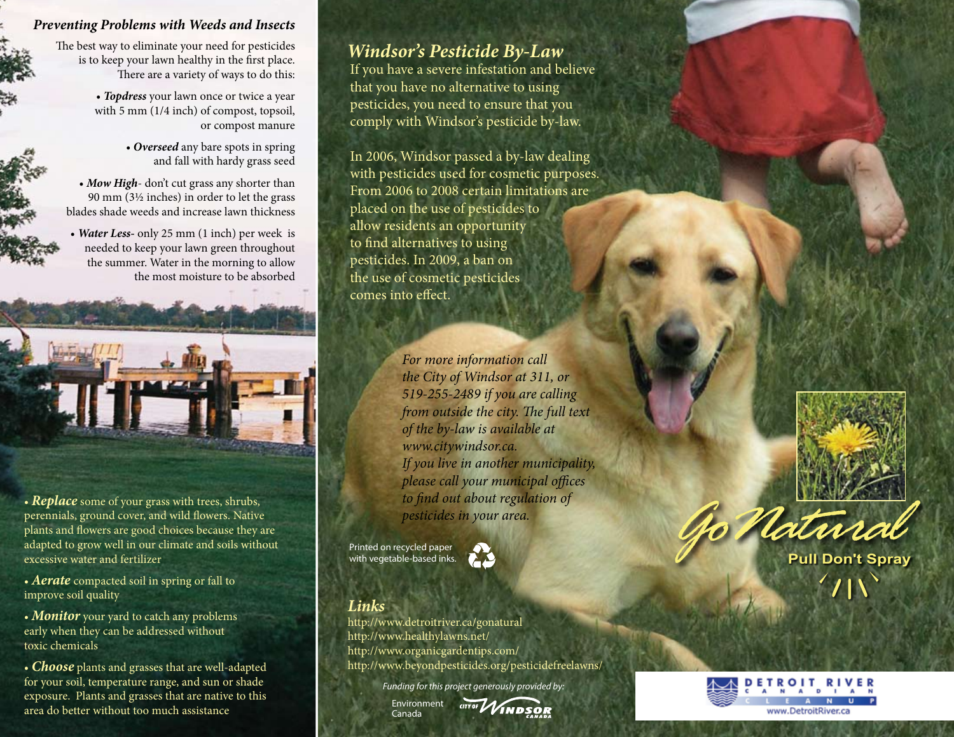#### *Preventing Problems with Weeds and Insects*

The best way to eliminate your need for pesticides is to keep your lawn healthy in the first place. There are a variety of ways to do this:

> • *Topdress* your lawn once or twice a year with 5 mm (1/4 inch) of compost, topsoil, or compost manure

> > • *Overseed* any bare spots in spring and fall with hardy grass seed

• *Mow High*- don't cut grass any shorter than 90 mm (3½ inches) in order to let the grass blades shade weeds and increase lawn thickness

• *Water Less-* only 25 mm (1 inch) per week is needed to keep your lawn green throughout the summer. Water in the morning to allow the most moisture to be absorbed



• **Replace** some of your grass with trees, shrubs, perennials, ground cover, and wild flowers. Native plants and flowers are good choices because they are adapted to grow well in our climate and soils without excessive water and fertilizer

• *Aerate* compacted soil in spring or fall to improve soil quality

• **Monitor** your yard to catch any problems early when they can be addressed without toxic chemicals

• *Choose* plants and grasses that are well-adapted for your soil, temperature range, and sun or shade exposure. Plants and grasses that are native to this area do better without too much assistance

# *Windsor's Pesticide By-Law*

If you have a severe infestation and believe that you have no alternative to using pesticides, you need to ensure that you comply with Windsor's pesticide by-law.

In 2006, Windsor passed a by-law dealing with pesticides used for cosmetic purposes. From 2006 to 2008 certain limitations are placed on the use of pesticides to allow residents an opportunity to find alternatives to using pesticides. In 2009, a ban on the use of cosmetic pesticides comes into effect.

> *For more information call the City of Windsor at 311, or 519-255-2489 if you are calling from outside the city. The full text of the by-law is available at www.citywindsor.ca. If you live in another municipality, please call your municipal offices to find out about regulation of pesticides in your area.*

Printed on recycled paper with vegetable-based inks.



#### *Links*

http://www.detroitriver.ca/gonatural http://www.healthylawns.net/ http://www.organicgardentips.com/ http://www.beyondpesticides.org/pesticidefreelawns/

*Funding for this project generously provided by:*







Go Natural

**Pull Don't Spray**

 $\mathcal{L}(\mathbf{A})$